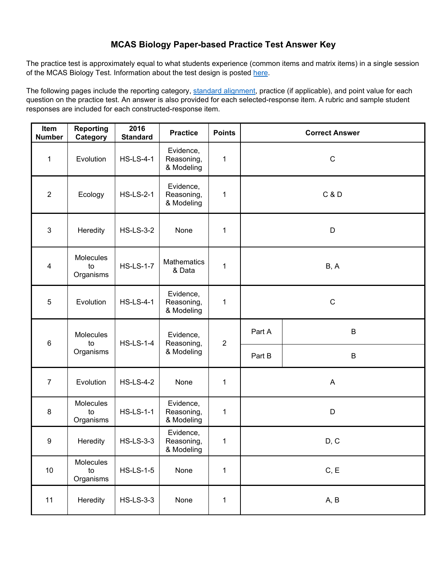#### **MCAS Biology Paper-based Practice Test Answer Key**

The practice test is approximately equal to what students experience (common items and matrix items) in a single session of the MCAS Biology Test. Information about the test design is posted [here.](http://www.doe.mass.edu/mcas/tdd/sci.html) 

 question on the practice test. An answer is also provided for each selected-response item. A rubric and sample student The following pages include the reporting category, [standard alignment,](http://www.doe.mass.edu/frameworks/) practice (if applicable), and point value for each responses are included for each constructed-response item.

| Item<br><b>Number</b> | 2016<br><b>Reporting</b><br><b>Practice</b><br><b>Points</b><br>Category<br><b>Standard</b> |                  |                                       | <b>Correct Answer</b> |                |         |  |
|-----------------------|---------------------------------------------------------------------------------------------|------------------|---------------------------------------|-----------------------|----------------|---------|--|
| 1                     | Evolution                                                                                   | <b>HS-LS-4-1</b> | Evidence,<br>Reasoning,<br>& Modeling | 1                     | $\mathbf C$    |         |  |
| $\overline{2}$        | Ecology                                                                                     | <b>HS-LS-2-1</b> | Evidence,<br>Reasoning,<br>& Modeling | 1                     | <b>C&amp;D</b> |         |  |
| 3                     | Heredity                                                                                    | <b>HS-LS-3-2</b> | None                                  | 1                     |                | D       |  |
| 4                     | Molecules<br>to<br>Organisms                                                                | <b>HS-LS-1-7</b> | <b>Mathematics</b><br>& Data          | 1                     | B, A           |         |  |
| 5                     | Evolution                                                                                   | <b>HS-LS-4-1</b> | Evidence,<br>Reasoning,<br>& Modeling | 1                     | ${\bf C}$      |         |  |
| $6\phantom{1}6$       | Molecules<br>to                                                                             | <b>HS-LS-1-4</b> | Evidence,<br>Reasoning,<br>& Modeling | $\overline{2}$        | Part A         | $\sf B$ |  |
|                       | Organisms                                                                                   |                  |                                       |                       | Part B         | $\sf B$ |  |
| $\overline{7}$        | Evolution                                                                                   | <b>HS-LS-4-2</b> | None                                  | 1                     | A              |         |  |
| $\bf 8$               | Molecules<br>to<br>Organisms                                                                | <b>HS-LS-1-1</b> | Evidence,<br>Reasoning,<br>& Modeling | 1                     | D              |         |  |
| $\boldsymbol{9}$      | Heredity                                                                                    | <b>HS-LS-3-3</b> | Evidence,<br>Reasoning,<br>& Modeling | 1                     | D, C           |         |  |
| 10                    | Molecules<br>to<br>Organisms                                                                | <b>HS-LS-1-5</b> | None                                  | $\mathbf 1$           | C, E           |         |  |
| 11                    | Heredity                                                                                    | <b>HS-LS-3-3</b> | None                                  | 1                     | A, B           |         |  |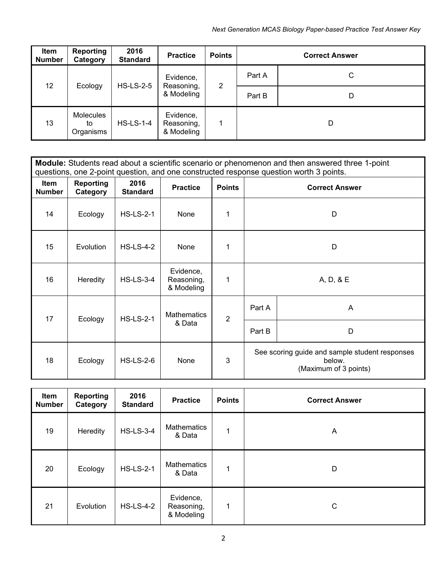| Item<br><b>Number</b> | 2016<br><b>Reporting</b><br><b>Standard</b><br>Category |              | <b>Practice</b>                       | <b>Points</b> | <b>Correct Answer</b> |   |  |
|-----------------------|---------------------------------------------------------|--------------|---------------------------------------|---------------|-----------------------|---|--|
| 12                    | Ecology                                                 | $HS$ -LS-2-5 | Evidence,<br>Reasoning,<br>& Modeling | 2             | Part A                | C |  |
|                       |                                                         |              |                                       |               | Part B                | D |  |
| 13                    | <b>Molecules</b><br>to<br>Organisms                     | $HS$ -LS-1-4 | Evidence,<br>Reasoning,<br>& Modeling |               |                       | D |  |

|                              | <b>Module:</b> Students read about a scientific scenario or phenomenon and then answered three 1-point<br>questions, one 2-point question, and one constructed response question worth 3 points. |                         |                                       |                |                                                                                   |   |  |  |
|------------------------------|--------------------------------------------------------------------------------------------------------------------------------------------------------------------------------------------------|-------------------------|---------------------------------------|----------------|-----------------------------------------------------------------------------------|---|--|--|
| <b>Item</b><br><b>Number</b> | <b>Reporting</b><br>Category                                                                                                                                                                     | 2016<br><b>Standard</b> | <b>Practice</b>                       | <b>Points</b>  | <b>Correct Answer</b>                                                             |   |  |  |
| 14                           | Ecology                                                                                                                                                                                          | $HS$ -LS-2-1            | None                                  | 1              | D                                                                                 |   |  |  |
| 15                           | Evolution                                                                                                                                                                                        | $HS$ -LS-4-2            | None                                  | 1              | D                                                                                 |   |  |  |
| 16                           | Heredity                                                                                                                                                                                         | $HS$ -LS-3-4            | Evidence,<br>Reasoning,<br>& Modeling | 1              | A, D, & E                                                                         |   |  |  |
| 17                           | Ecology                                                                                                                                                                                          | <b>HS-LS-2-1</b>        | <b>Mathematics</b><br>& Data          | $\overline{2}$ | Part A                                                                            | A |  |  |
|                              |                                                                                                                                                                                                  |                         |                                       |                | Part B                                                                            | D |  |  |
| 18                           | Ecology                                                                                                                                                                                          | $HS$ -LS-2-6            | None                                  | 3              | See scoring guide and sample student responses<br>below.<br>(Maximum of 3 points) |   |  |  |

| Item<br><b>Number</b> | <b>Reporting</b><br>Category | 2016<br><b>Standard</b> | <b>Practice</b>                       | <b>Points</b> | <b>Correct Answer</b> |
|-----------------------|------------------------------|-------------------------|---------------------------------------|---------------|-----------------------|
| 19                    | Heredity                     | <b>HS-LS-3-4</b>        | <b>Mathematics</b><br>& Data          | 1             | A                     |
| 20                    | Ecology                      | <b>HS-LS-2-1</b>        | <b>Mathematics</b><br>& Data          | 1             | D                     |
| 21                    | Evolution                    | <b>HS-LS-4-2</b>        | Evidence,<br>Reasoning,<br>& Modeling | 1             | C                     |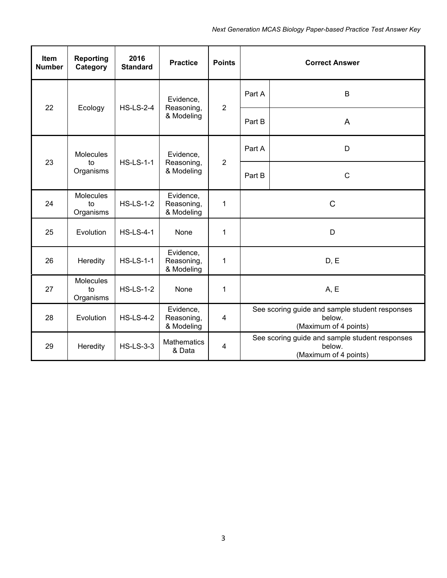| Item<br><b>Number</b> | <b>Reporting</b><br>Category                                                             | 2016<br><b>Standard</b> | <b>Practice</b>                                                                   | <b>Points</b>  |              | <b>Correct Answer</b>                                                             |
|-----------------------|------------------------------------------------------------------------------------------|-------------------------|-----------------------------------------------------------------------------------|----------------|--------------|-----------------------------------------------------------------------------------|
| 22                    |                                                                                          | <b>HS-LS-2-4</b>        | Evidence,                                                                         | $\overline{2}$ | Part A       | B                                                                                 |
|                       | Ecology                                                                                  |                         | Reasoning,<br>& Modeling                                                          |                | Part B       | A                                                                                 |
|                       | <b>Molecules</b>                                                                         | <b>HS-LS-1-1</b>        | Evidence,<br>Reasoning,<br>& Modeling                                             | $\overline{2}$ | Part A       | D                                                                                 |
| 23                    | to<br>Organisms                                                                          |                         |                                                                                   |                | Part B       | $\mathsf{C}$                                                                      |
| 24                    | Molecules<br>to<br>Organisms                                                             | <b>HS-LS-1-2</b>        | Evidence,<br>Reasoning,<br>& Modeling                                             | 1              | $\mathsf{C}$ |                                                                                   |
| 25                    | Evolution                                                                                | <b>HS-LS-4-1</b>        | None                                                                              | $\mathbf{1}$   |              | D                                                                                 |
| 26                    | Heredity                                                                                 | <b>HS-LS-1-1</b>        | Evidence,<br>Reasoning,<br>& Modeling                                             | $\mathbf{1}$   |              | D, E                                                                              |
| 27                    | Molecules<br>to<br>Organisms                                                             | <b>HS-LS-1-2</b>        | None                                                                              | 1              |              | A, E                                                                              |
| 28                    | Evidence,<br><b>HS-LS-4-2</b><br>Evolution<br>Reasoning,<br>$\overline{4}$<br>& Modeling |                         | See scoring guide and sample student responses<br>below.<br>(Maximum of 4 points) |                |              |                                                                                   |
| 29                    | Heredity                                                                                 | <b>HS-LS-3-3</b>        | <b>Mathematics</b><br>& Data                                                      | $\overline{4}$ |              | See scoring guide and sample student responses<br>below.<br>(Maximum of 4 points) |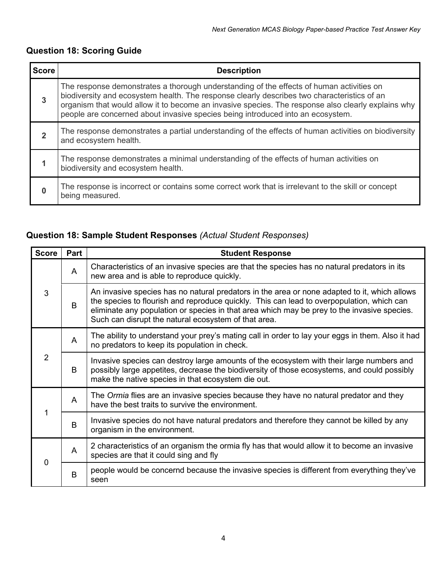## **Question 18: Scoring Guide**

| <b>Score</b> | <b>Description</b>                                                                                                                                                                                                                                                                                                                                                               |
|--------------|----------------------------------------------------------------------------------------------------------------------------------------------------------------------------------------------------------------------------------------------------------------------------------------------------------------------------------------------------------------------------------|
| $\mathbf{3}$ | The response demonstrates a thorough understanding of the effects of human activities on<br>biodiversity and ecosystem health. The response clearly describes two characteristics of an<br>organism that would allow it to become an invasive species. The response also clearly explains why<br>people are concerned about invasive species being introduced into an ecosystem. |
| $\mathbf 2$  | The response demonstrates a partial understanding of the effects of human activities on biodiversity<br>and ecosystem health.                                                                                                                                                                                                                                                    |
|              | The response demonstrates a minimal understanding of the effects of human activities on<br>biodiversity and ecosystem health.                                                                                                                                                                                                                                                    |
| O            | The response is incorrect or contains some correct work that is irrelevant to the skill or concept<br>being measured.                                                                                                                                                                                                                                                            |

## **Question 18: Sample Student Responses** *(Actual Student Responses)*

| <b>Score</b> | Part           | <b>Student Response</b>                                                                                                                                                                                                                                                                                                                          |
|--------------|----------------|--------------------------------------------------------------------------------------------------------------------------------------------------------------------------------------------------------------------------------------------------------------------------------------------------------------------------------------------------|
|              | A              | Characteristics of an invasive species are that the species has no natural predators in its<br>new area and is able to reproduce quickly.                                                                                                                                                                                                        |
| 3            | B              | An invasive species has no natural predators in the area or none adapted to it, which allows<br>the species to flourish and reproduce quickly. This can lead to overpopulation, which can<br>eliminate any population or species in that area which may be prey to the invasive species.<br>Such can disrupt the natural ecosystem of that area. |
| 2            | A              | The ability to understand your prey's mating call in order to lay your eggs in them. Also it had<br>no predators to keep its population in check.                                                                                                                                                                                                |
|              | B              | Invasive species can destroy large amounts of the ecosystem with their large numbers and<br>possibly large appetites, decrease the biodiversity of those ecosystems, and could possibly<br>make the native species in that ecosystem die out.                                                                                                    |
|              | $\overline{A}$ | The Ormia flies are an invasive species because they have no natural predator and they<br>have the best traits to survive the environment.                                                                                                                                                                                                       |
|              | B              | Invasive species do not have natural predators and therefore they cannot be killed by any<br>organism in the environment.                                                                                                                                                                                                                        |
| $\Omega$     | A              | 2 characteristics of an organism the ormia fly has that would allow it to become an invasive<br>species are that it could sing and fly                                                                                                                                                                                                           |
|              | B              | people would be concernd because the invasive species is different from everything they've<br>seen                                                                                                                                                                                                                                               |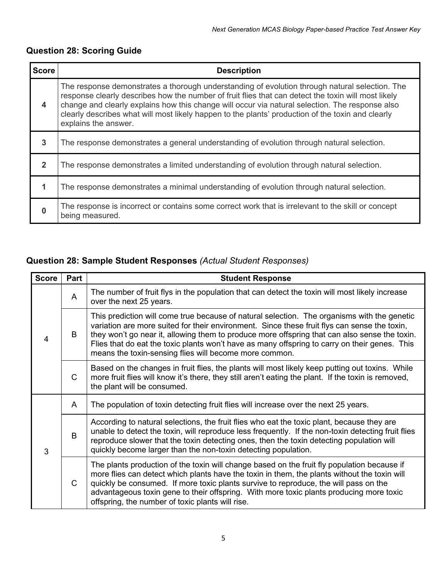## **Question 28: Scoring Guide**

| <b>Score</b>   | <b>Description</b>                                                                                                                                                                                                                                                                                                                                                                                                                    |
|----------------|---------------------------------------------------------------------------------------------------------------------------------------------------------------------------------------------------------------------------------------------------------------------------------------------------------------------------------------------------------------------------------------------------------------------------------------|
| 4              | The response demonstrates a thorough understanding of evolution through natural selection. The<br>response clearly describes how the number of fruit flies that can detect the toxin will most likely<br>change and clearly explains how this change will occur via natural selection. The response also<br>clearly describes what will most likely happen to the plants' production of the toxin and clearly<br>explains the answer. |
| $\overline{3}$ | The response demonstrates a general understanding of evolution through natural selection.                                                                                                                                                                                                                                                                                                                                             |
| $\overline{2}$ | The response demonstrates a limited understanding of evolution through natural selection.                                                                                                                                                                                                                                                                                                                                             |
|                | The response demonstrates a minimal understanding of evolution through natural selection.                                                                                                                                                                                                                                                                                                                                             |
| $\bf{0}$       | The response is incorrect or contains some correct work that is irrelevant to the skill or concept<br>being measured.                                                                                                                                                                                                                                                                                                                 |

## **Question 28: Sample Student Responses** *(Actual Student Responses)*

| <b>Score</b> | Part         | <b>Student Response</b>                                                                                                                                                                                                                                                                                                                                                                                                                                 |
|--------------|--------------|---------------------------------------------------------------------------------------------------------------------------------------------------------------------------------------------------------------------------------------------------------------------------------------------------------------------------------------------------------------------------------------------------------------------------------------------------------|
|              | A            | The number of fruit flys in the population that can detect the toxin will most likely increase<br>over the next 25 years.                                                                                                                                                                                                                                                                                                                               |
| 4            | B            | This prediction will come true because of natural selection. The organisms with the genetic<br>variation are more suited for their environment. Since these fruit flys can sense the toxin,<br>they won't go near it, allowing them to produce more offspring that can also sense the toxin.<br>Flies that do eat the toxic plants won't have as many offspring to carry on their genes. This<br>means the toxin-sensing flies will become more common. |
|              | $\mathsf{C}$ | Based on the changes in fruit flies, the plants will most likely keep putting out toxins. While<br>more fruit flies will know it's there, they still aren't eating the plant. If the toxin is removed,<br>the plant will be consumed.                                                                                                                                                                                                                   |
|              | A            | The population of toxin detecting fruit flies will increase over the next 25 years.                                                                                                                                                                                                                                                                                                                                                                     |
| 3            | B            | According to natural selections, the fruit flies who eat the toxic plant, because they are<br>unable to detect the toxin, will reproduce less frequently. If the non-toxin detecting fruit flies<br>reproduce slower that the toxin detecting ones, then the toxin detecting population will<br>quickly become larger than the non-toxin detecting population.                                                                                          |
|              | $\mathsf{C}$ | The plants production of the toxin will change based on the fruit fly population because if<br>more flies can detect which plants have the toxin in them, the plants without the toxin will<br>quickly be consumed. If more toxic plants survive to reproduce, the will pass on the<br>advantageous toxin gene to their offspring. With more toxic plants producing more toxic<br>offspring, the number of toxic plants will rise.                      |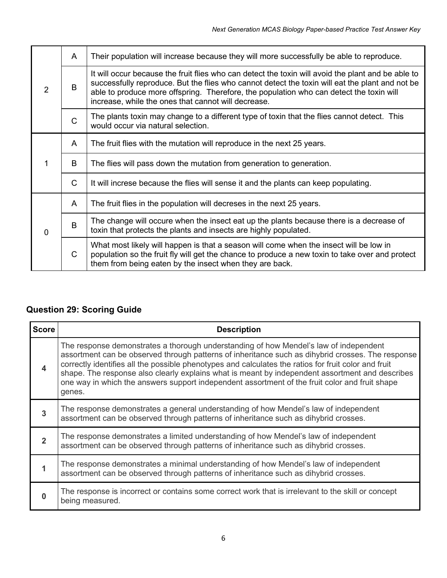|          | A            | Their population will increase because they will more successfully be able to reproduce.                                                                                                                                                                                                                                                                |
|----------|--------------|---------------------------------------------------------------------------------------------------------------------------------------------------------------------------------------------------------------------------------------------------------------------------------------------------------------------------------------------------------|
| 2        | B            | It will occur because the fruit flies who can detect the toxin will avoid the plant and be able to<br>successfully reproduce. But the flies who cannot detect the toxin will eat the plant and not be<br>able to produce more offspring. Therefore, the population who can detect the toxin will<br>increase, while the ones that cannot will decrease. |
|          | $\mathsf{C}$ | The plants toxin may change to a different type of toxin that the flies cannot detect. This<br>would occur via natural selection.                                                                                                                                                                                                                       |
|          | A            | The fruit flies with the mutation will reproduce in the next 25 years.                                                                                                                                                                                                                                                                                  |
|          | B            | The flies will pass down the mutation from generation to generation.                                                                                                                                                                                                                                                                                    |
|          | $\mathsf{C}$ | It will increse because the flies will sense it and the plants can keep populating.                                                                                                                                                                                                                                                                     |
|          | A            | The fruit flies in the population will decreses in the next 25 years.                                                                                                                                                                                                                                                                                   |
| $\Omega$ | B            | The change will occure when the insect eat up the plants because there is a decrease of<br>toxin that protects the plants and insects are highly populated.                                                                                                                                                                                             |
|          | $\mathsf{C}$ | What most likely will happen is that a season will come when the insect will be low in<br>population so the fruit fly will get the chance to produce a new toxin to take over and protect<br>them from being eaten by the insect when they are back.                                                                                                    |

## **Question 29: Scoring Guide**

| <b>Score</b>            | <b>Description</b>                                                                                                                                                                                                                                                                                                                                                                                                                                                                                                |
|-------------------------|-------------------------------------------------------------------------------------------------------------------------------------------------------------------------------------------------------------------------------------------------------------------------------------------------------------------------------------------------------------------------------------------------------------------------------------------------------------------------------------------------------------------|
| $\overline{\mathbf{4}}$ | The response demonstrates a thorough understanding of how Mendel's law of independent<br>assortment can be observed through patterns of inheritance such as dihybrid crosses. The response<br>correctly identifies all the possible phenotypes and calculates the ratios for fruit color and fruit<br>shape. The response also clearly explains what is meant by independent assortment and describes<br>one way in which the answers support independent assortment of the fruit color and fruit shape<br>genes. |
| 3                       | The response demonstrates a general understanding of how Mendel's law of independent<br>assortment can be observed through patterns of inheritance such as dihybrid crosses.                                                                                                                                                                                                                                                                                                                                      |
| $\overline{2}$          | The response demonstrates a limited understanding of how Mendel's law of independent<br>assortment can be observed through patterns of inheritance such as dihybrid crosses.                                                                                                                                                                                                                                                                                                                                      |
|                         | The response demonstrates a minimal understanding of how Mendel's law of independent<br>assortment can be observed through patterns of inheritance such as dihybrid crosses.                                                                                                                                                                                                                                                                                                                                      |
| n                       | The response is incorrect or contains some correct work that is irrelevant to the skill or concept<br>being measured.                                                                                                                                                                                                                                                                                                                                                                                             |